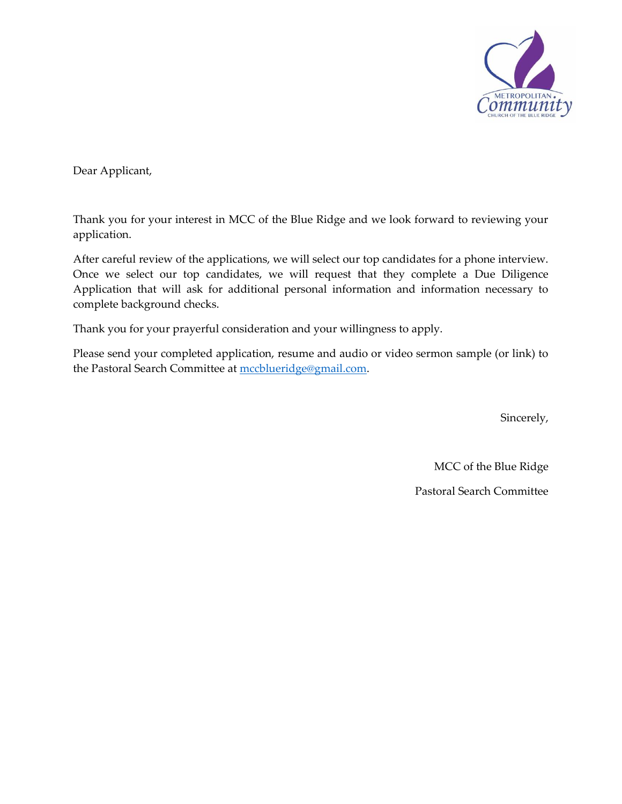

Dear Applicant,

Thank you for your interest in MCC of the Blue Ridge and we look forward to reviewing your application.

After careful review of the applications, we will select our top candidates for a phone interview. Once we select our top candidates, we will request that they complete a Due Diligence Application that will ask for additional personal information and information necessary to complete background checks.

Thank you for your prayerful consideration and your willingness to apply.

Please send your completed application, resume and audio or video sermon sample (or link) to the Pastoral Search Committee at [mccblueridge@gmail.com.](mailto:mccblueridge@gmail.com)

Sincerely,

MCC of the Blue Ridge

Pastoral Search Committee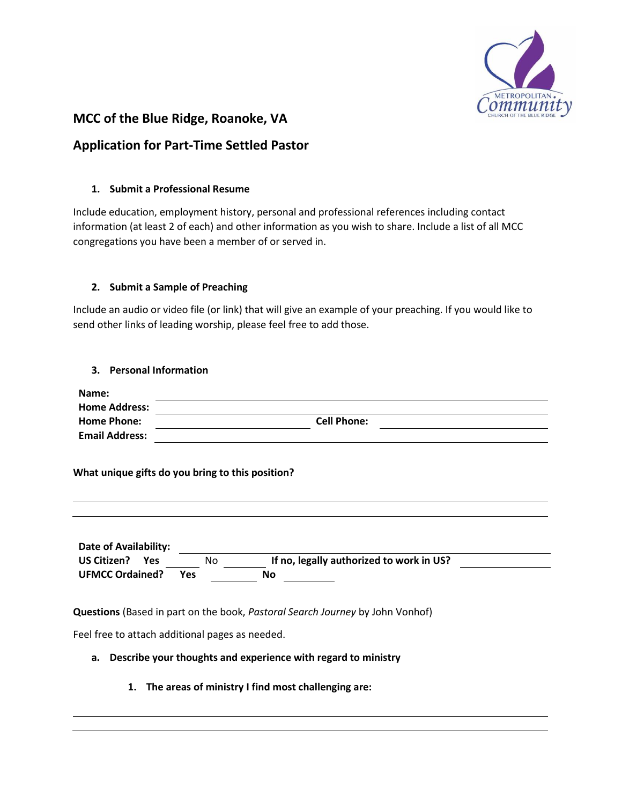

# **MCC of the Blue Ridge, Roanoke, VA**

# **Application for Part-Time Settled Pastor**

### **1. Submit a Professional Resume**

Include education, employment history, personal and professional references including contact information (at least 2 of each) and other information as you wish to share. Include a list of all MCC congregations you have been a member of or served in.

## **2. Submit a Sample of Preaching**

Include an audio or video file (or link) that will give an example of your preaching. If you would like to send other links of leading worship, please feel free to add those.

#### **3. Personal Information**

| Name:                 |                    |  |
|-----------------------|--------------------|--|
| <b>Home Address:</b>  |                    |  |
| <b>Home Phone:</b>    | <b>Cell Phone:</b> |  |
| <b>Email Address:</b> |                    |  |

#### **What unique gifts do you bring to this position?**

**Date of Availability: US Citizen? Yes** No **If no, legally authorized to work in US? UFMCC Ordained? Yes No**

**Questions** (Based in part on the book, *Pastoral Search Journey* by John Vonhof)

Feel free to attach additional pages as needed.

## **a. Describe your thoughts and experience with regard to ministry**

**1. The areas of ministry I find most challenging are:**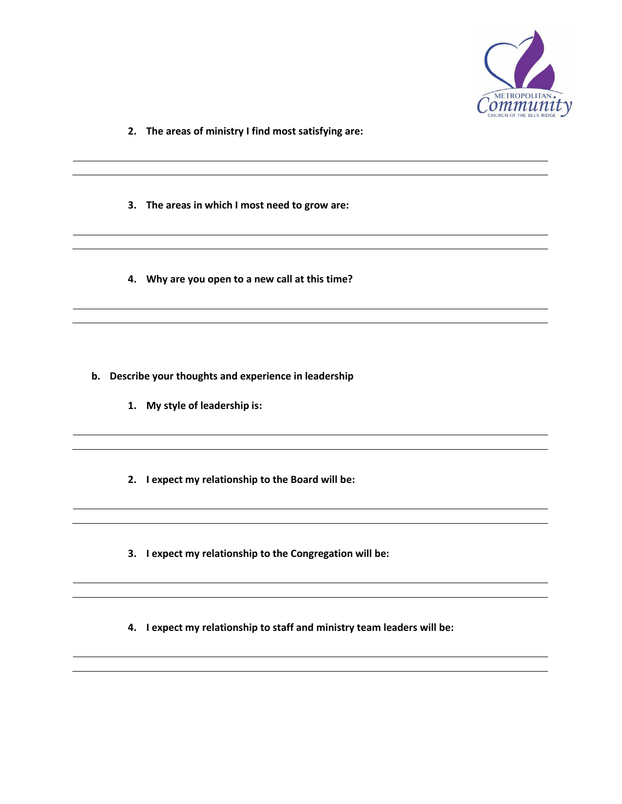

- **2. The areas of ministry I find most satisfying are:**
- **3. The areas in which I most need to grow are:**
- **4. Why are you open to a new call at this time?**

- **b. Describe your thoughts and experience in leadership**
	- **1. My style of leadership is:**
	- **2. I expect my relationship to the Board will be:**
	- **3. I expect my relationship to the Congregation will be:**
	- **4. I expect my relationship to staff and ministry team leaders will be:**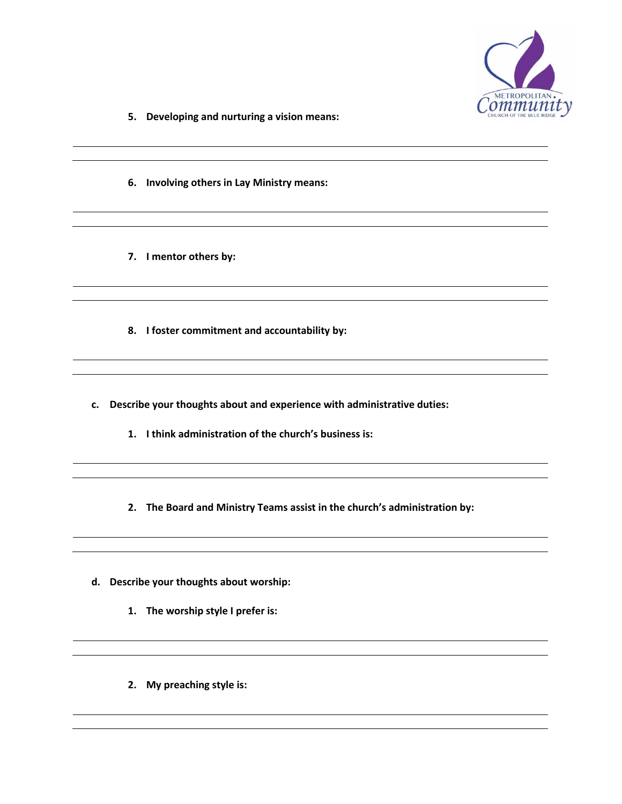

- **5. Developing and nurturing a vision means:**
- **6. Involving others in Lay Ministry means:**
- **7. I mentor others by:**
- **8. I foster commitment and accountability by:**
- **c. Describe your thoughts about and experience with administrative duties:**
	- **1. I think administration of the church's business is:**
	- **2. The Board and Ministry Teams assist in the church's administration by:**
- **d. Describe your thoughts about worship:**
	- **1. The worship style I prefer is:**
	- **2. My preaching style is:**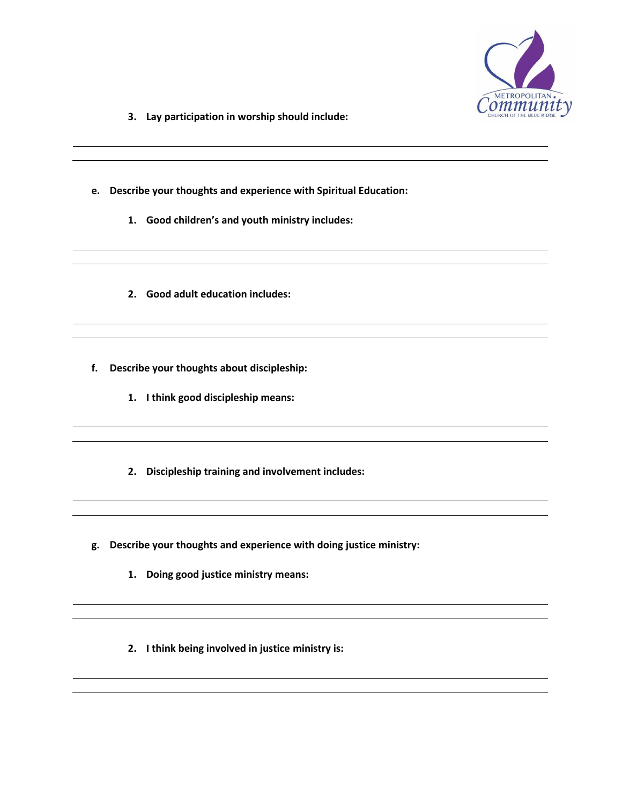

- **3. Lay participation in worship should include:**
- **e. Describe your thoughts and experience with Spiritual Education:**
	- **1. Good children's and youth ministry includes:**
	- **2. Good adult education includes:**
- **f. Describe your thoughts about discipleship:**
	- **1. I think good discipleship means:**
	- **2. Discipleship training and involvement includes:**
- **g. Describe your thoughts and experience with doing justice ministry:**
	- **1. Doing good justice ministry means:**
	- **2. I think being involved in justice ministry is:**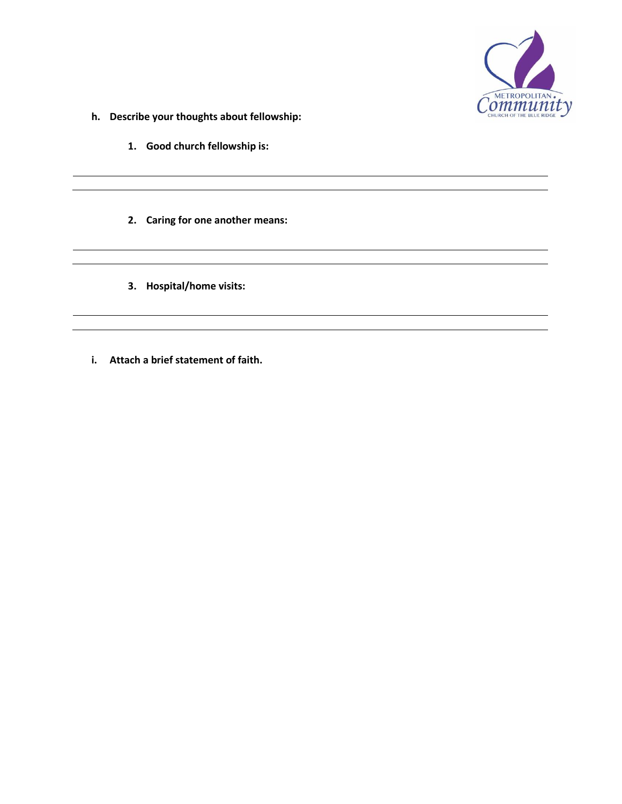

- **h. Describe your thoughts about fellowship:**
	- **1. Good church fellowship is:**
	- **2. Caring for one another means:**
	- **3. Hospital/home visits:**
- **i. Attach a brief statement of faith.**